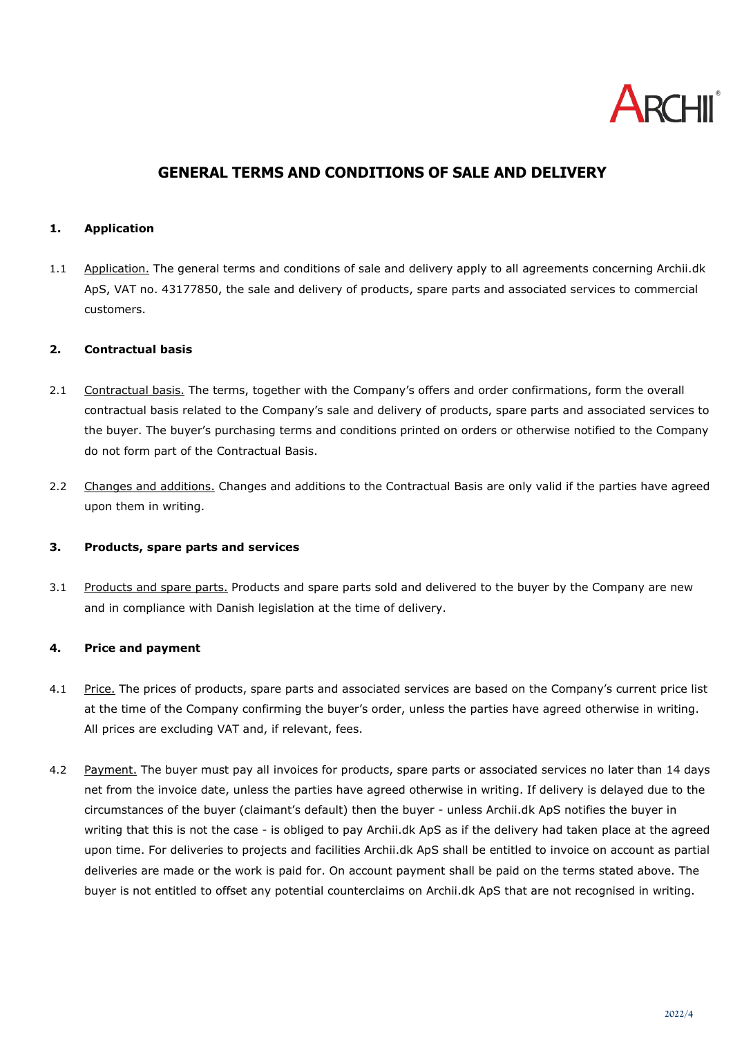

# **GENERAL TERMS AND CONDITIONS OF SALE AND DELIVERY**

#### **1. Application**

1.1 Application. The general terms and conditions of sale and delivery apply to all agreements concerning Archii.dk ApS, VAT no. 43177850, the sale and delivery of products, spare parts and associated services to commercial customers.

#### **2. Contractual basis**

- 2.1 Contractual basis. The terms, together with the Company's offers and order confirmations, form the overall contractual basis related to the Company's sale and delivery of products, spare parts and associated services to the buyer. The buyer's purchasing terms and conditions printed on orders or otherwise notified to the Company do not form part of the Contractual Basis.
- 2.2 Changes and additions. Changes and additions to the Contractual Basis are only valid if the parties have agreed upon them in writing.

#### **3. Products, spare parts and services**

3.1 Products and spare parts. Products and spare parts sold and delivered to the buyer by the Company are new and in compliance with Danish legislation at the time of delivery.

# **4. Price and payment**

- 4.1 Price. The prices of products, spare parts and associated services are based on the Company's current price list at the time of the Company confirming the buyer's order, unless the parties have agreed otherwise in writing. All prices are excluding VAT and, if relevant, fees.
- 4.2 Payment. The buyer must pay all invoices for products, spare parts or associated services no later than 14 days net from the invoice date, unless the parties have agreed otherwise in writing. If delivery is delayed due to the circumstances of the buyer (claimant's default) then the buyer - unless Archii.dk ApS notifies the buyer in writing that this is not the case - is obliged to pay Archii.dk ApS as if the delivery had taken place at the agreed upon time. For deliveries to projects and facilities Archii.dk ApS shall be entitled to invoice on account as partial deliveries are made or the work is paid for. On account payment shall be paid on the terms stated above. The buyer is not entitled to offset any potential counterclaims on Archii.dk ApS that are not recognised in writing.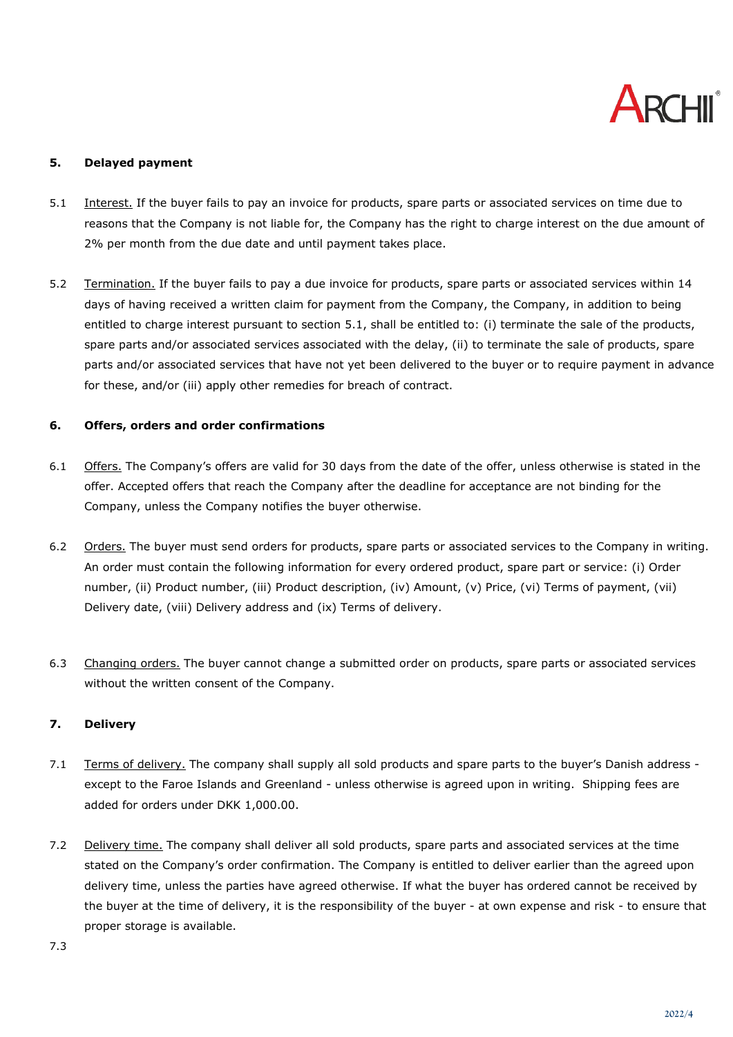

### **5. Delayed payment**

- <span id="page-1-0"></span>5.1 Interest. If the buyer fails to pay an invoice for products, spare parts or associated services on time due to reasons that the Company is not liable for, the Company has the right to charge interest on the due amount of 2% per month from the due date and until payment takes place.
- 5.2 Termination. If the buyer fails to pay a due invoice for products, spare parts or associated services within 14 days of having received a written claim for payment from the Company, the Company, in addition to being entitled to charge interest pursuant to section [5.1,](#page-1-0) shall be entitled to: (i) terminate the sale of the products, spare parts and/or associated services associated with the delay, (ii) to terminate the sale of products, spare parts and/or associated services that have not yet been delivered to the buyer or to require payment in advance for these, and/or (iii) apply other remedies for breach of contract.

#### **6. Offers, orders and order confirmations**

- 6.1 Offers. The Company's offers are valid for 30 days from the date of the offer, unless otherwise is stated in the offer. Accepted offers that reach the Company after the deadline for acceptance are not binding for the Company, unless the Company notifies the buyer otherwise.
- 6.2 Orders. The buyer must send orders for products, spare parts or associated services to the Company in writing. An order must contain the following information for every ordered product, spare part or service: (i) Order number, (ii) Product number, (iii) Product description, (iv) Amount, (v) Price, (vi) Terms of payment, (vii) Delivery date, (viii) Delivery address and (ix) Terms of delivery.
- 6.3 Changing orders. The buyer cannot change a submitted order on products, spare parts or associated services without the written consent of the Company.

#### **7. Delivery**

- 7.1 Terms of delivery. The company shall supply all sold products and spare parts to the buyer's Danish address except to the Faroe Islands and Greenland - unless otherwise is agreed upon in writing. Shipping fees are added for orders under DKK 1,000.00.
- 7.2 Delivery time. The company shall deliver all sold products, spare parts and associated services at the time stated on the Company's order confirmation. The Company is entitled to deliver earlier than the agreed upon delivery time, unless the parties have agreed otherwise. If what the buyer has ordered cannot be received by the buyer at the time of delivery, it is the responsibility of the buyer - at own expense and risk - to ensure that proper storage is available.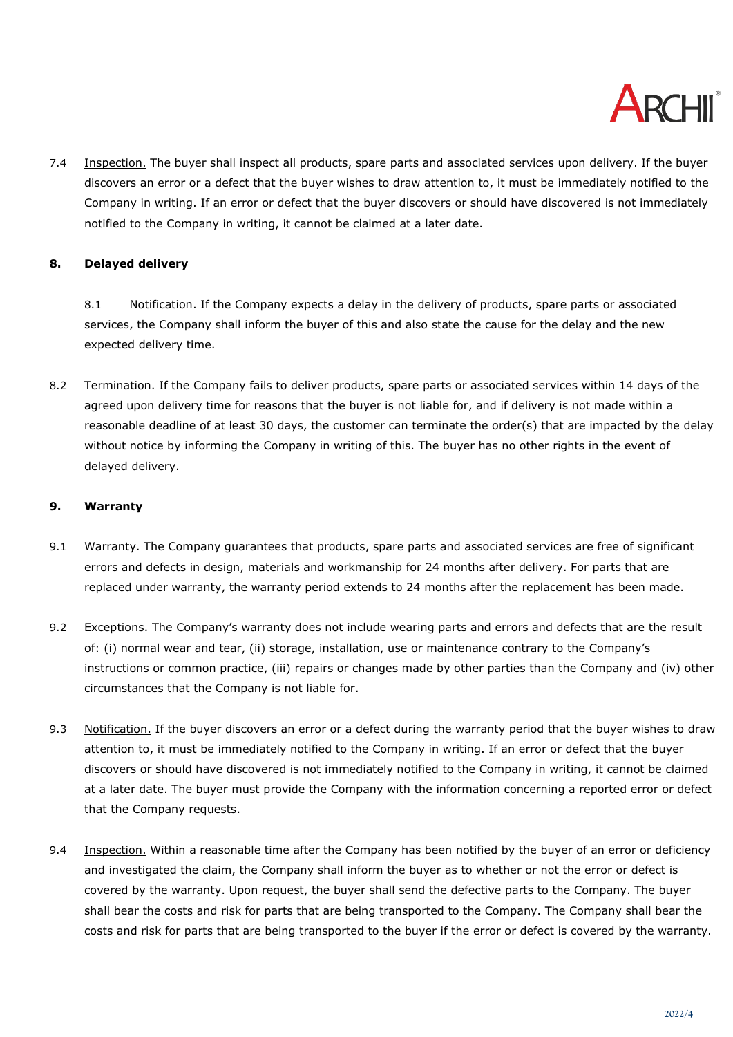

7.4 Inspection. The buyer shall inspect all products, spare parts and associated services upon delivery. If the buyer discovers an error or a defect that the buyer wishes to draw attention to, it must be immediately notified to the Company in writing. If an error or defect that the buyer discovers or should have discovered is not immediately notified to the Company in writing, it cannot be claimed at a later date.

# **8. Delayed delivery**

8.1 Notification. If the Company expects a delay in the delivery of products, spare parts or associated services, the Company shall inform the buyer of this and also state the cause for the delay and the new expected delivery time.

8.2 Termination. If the Company fails to deliver products, spare parts or associated services within 14 days of the agreed upon delivery time for reasons that the buyer is not liable for, and if delivery is not made within a reasonable deadline of at least 30 days, the customer can terminate the order(s) that are impacted by the delay without notice by informing the Company in writing of this. The buyer has no other rights in the event of delayed delivery.

# <span id="page-2-1"></span>**9. Warranty**

- 9.1 Warranty. The Company guarantees that products, spare parts and associated services are free of significant errors and defects in design, materials and workmanship for 24 months after delivery. For parts that are replaced under warranty, the warranty period extends to 24 months after the replacement has been made.
- 9.2 Exceptions. The Company's warranty does not include wearing parts and errors and defects that are the result of: (i) normal wear and tear, (ii) storage, installation, use or maintenance contrary to the Company's instructions or common practice, (iii) repairs or changes made by other parties than the Company and (iv) other circumstances that the Company is not liable for.
- 9.3 Notification. If the buyer discovers an error or a defect during the warranty period that the buyer wishes to draw attention to, it must be immediately notified to the Company in writing. If an error or defect that the buyer discovers or should have discovered is not immediately notified to the Company in writing, it cannot be claimed at a later date. The buyer must provide the Company with the information concerning a reported error or defect that the Company requests.
- <span id="page-2-0"></span>9.4 Inspection. Within a reasonable time after the Company has been notified by the buyer of an error or deficiency and investigated the claim, the Company shall inform the buyer as to whether or not the error or defect is covered by the warranty. Upon request, the buyer shall send the defective parts to the Company. The buyer shall bear the costs and risk for parts that are being transported to the Company. The Company shall bear the costs and risk for parts that are being transported to the buyer if the error or defect is covered by the warranty.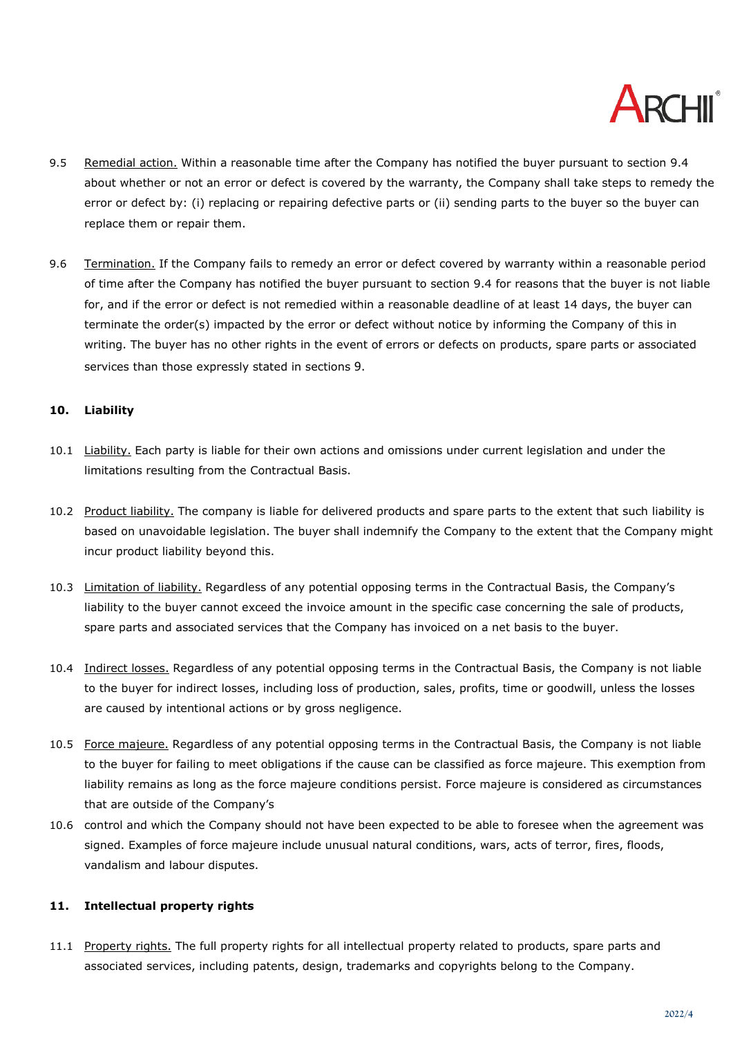

- 9.5 Remedial action. Within a reasonable time after the Company has notified the buyer pursuant to section [9.4](#page-2-0) about whether or not an error or defect is covered by the warranty, the Company shall take steps to remedy the error or defect by: (i) replacing or repairing defective parts or (ii) sending parts to the buyer so the buyer can replace them or repair them.
- 9.6 Termination. If the Company fails to remedy an error or defect covered by warranty within a reasonable period of time after the Company has notified the buyer pursuant to section [9.4](#page-2-0) for reasons that the buyer is not liable for, and if the error or defect is not remedied within a reasonable deadline of at least 14 days, the buyer can terminate the order(s) impacted by the error or defect without notice by informing the Company of this in writing. The buyer has no other rights in the event of errors or defects on products, spare parts or associated services than those expressly stated in sections [9](#page-2-1).

#### **10. Liability**

- 10.1 Liability. Each party is liable for their own actions and omissions under current legislation and under the limitations resulting from the Contractual Basis.
- 10.2 Product liability. The company is liable for delivered products and spare parts to the extent that such liability is based on unavoidable legislation. The buyer shall indemnify the Company to the extent that the Company might incur product liability beyond this.
- 10.3 Limitation of liability. Regardless of any potential opposing terms in the Contractual Basis, the Company's liability to the buyer cannot exceed the invoice amount in the specific case concerning the sale of products, spare parts and associated services that the Company has invoiced on a net basis to the buyer.
- 10.4 Indirect losses. Regardless of any potential opposing terms in the Contractual Basis, the Company is not liable to the buyer for indirect losses, including loss of production, sales, profits, time or goodwill, unless the losses are caused by intentional actions or by gross negligence.
- 10.5 Force majeure. Regardless of any potential opposing terms in the Contractual Basis, the Company is not liable to the buyer for failing to meet obligations if the cause can be classified as force majeure. This exemption from liability remains as long as the force majeure conditions persist. Force majeure is considered as circumstances that are outside of the Company's
- 10.6 control and which the Company should not have been expected to be able to foresee when the agreement was signed. Examples of force majeure include unusual natural conditions, wars, acts of terror, fires, floods, vandalism and labour disputes.

# **11. Intellectual property rights**

11.1 Property rights. The full property rights for all intellectual property related to products, spare parts and associated services, including patents, design, trademarks and copyrights belong to the Company.